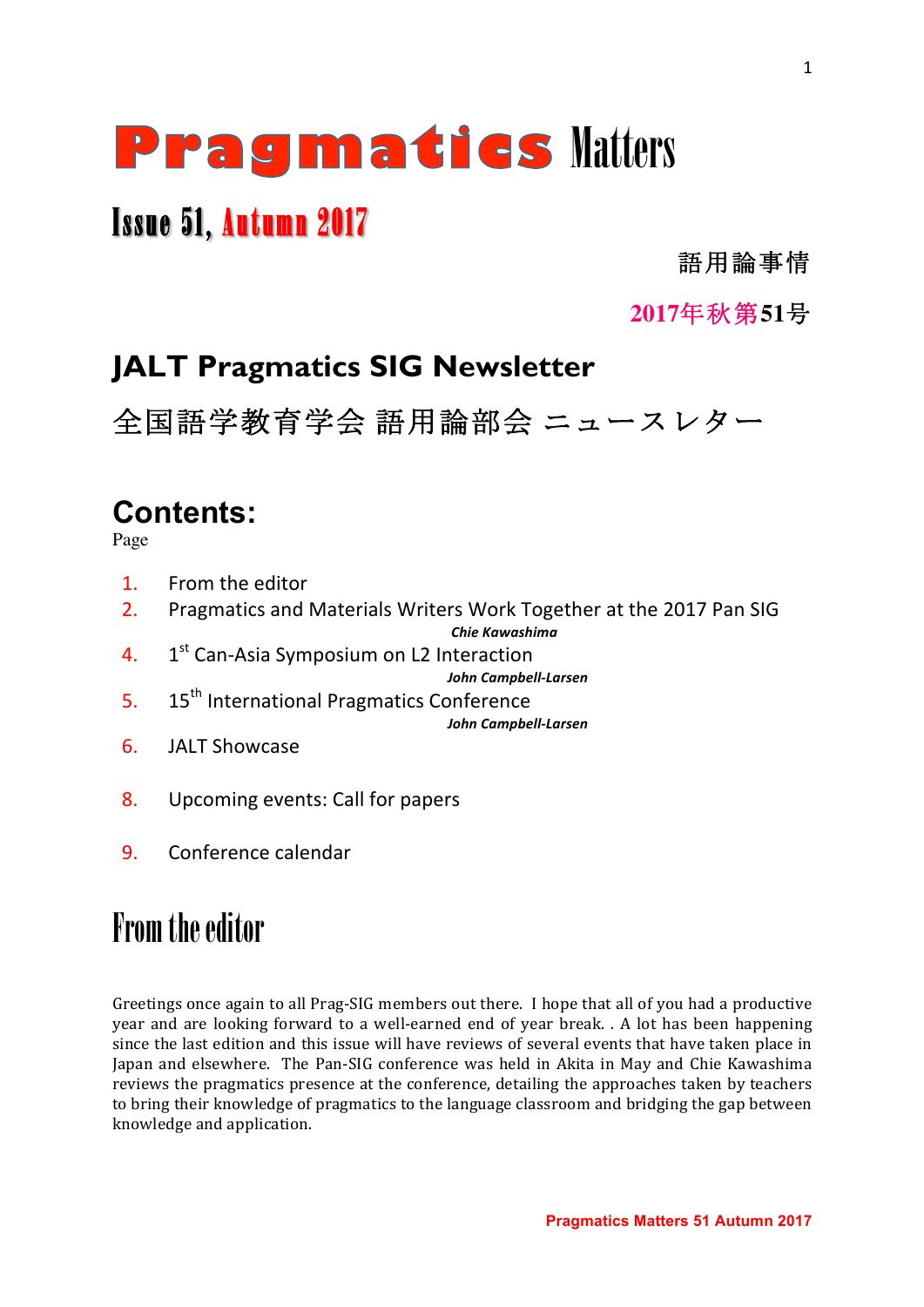# **Pragmaties Matters**

# Issue 51, Autumn 2017

語用論事情

**2017**年秋第**51**号

# **JALT Pragmatics SIG Newsletter**

全国語学教育学会 語用論部会 ニュースレター

# **Contents:**

Page

- 1. From the editor
- 2. Pragmatics and Materials Writers Work Together at the 2017 Pan SIG

*Chie Kawashima*

4.  $1<sup>st</sup>$  Can-Asia Symposium on L2 Interaction

*John Campbell-Larsen*

- 5. 15<sup>th</sup> International Pragmatics Conference *John Campbell-Larsen*
- 6. JALT Showcase
- 8. Upcoming events: Call for papers
- 9. Conference calendar

# From the editor

Greetings once again to all Prag-SIG members out there. I hope that all of you had a productive year and are looking forward to a well-earned end of year break. . A lot has been happening since the last edition and this issue will have reviews of several events that have taken place in Japan and elsewhere. The Pan-SIG conference was held in Akita in May and Chie Kawashima reviews the pragmatics presence at the conference, detailing the approaches taken by teachers to bring their knowledge of pragmatics to the language classroom and bridging the gap between knowledge and application.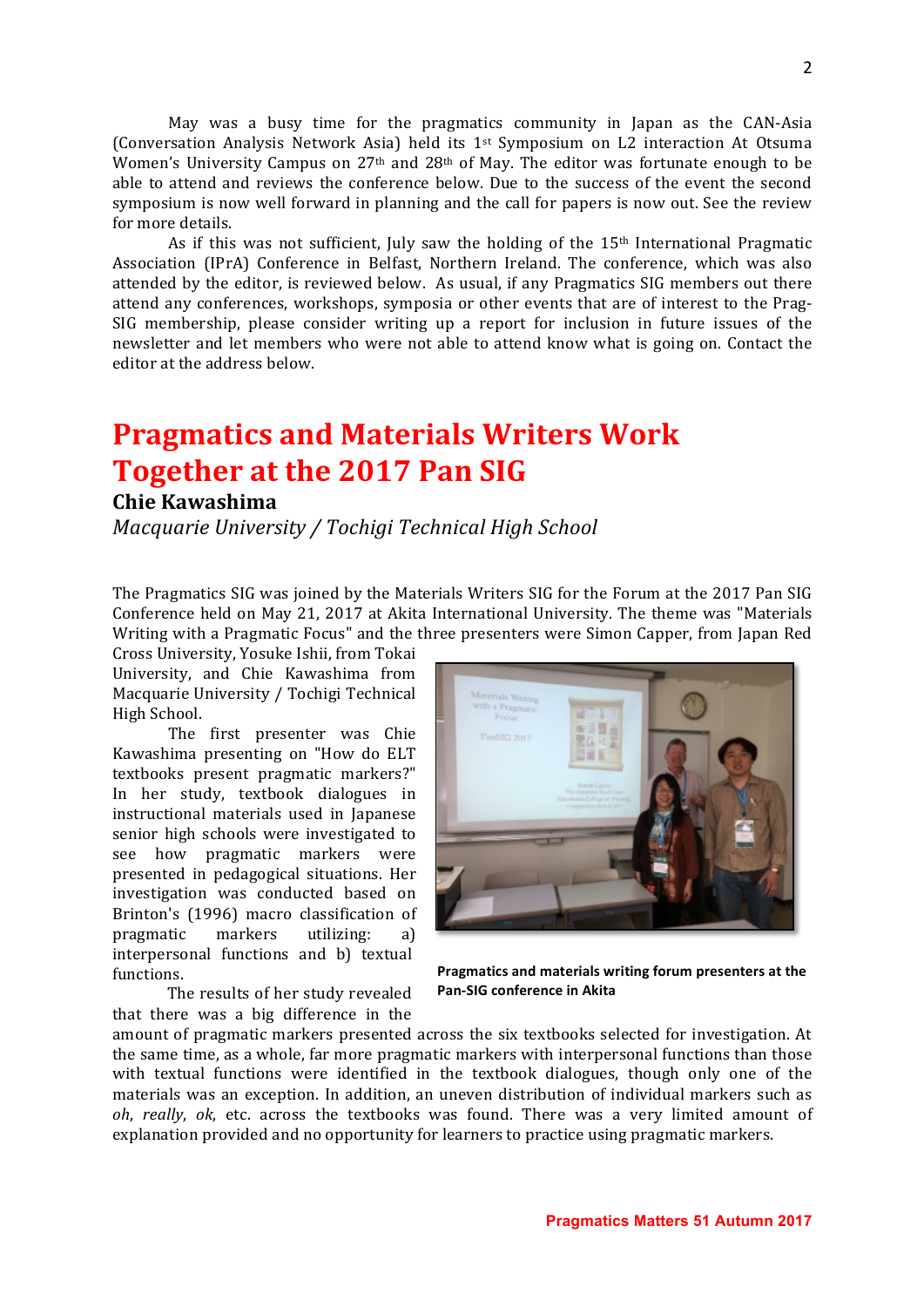May was a busy time for the pragmatics community in Japan as the CAN-Asia (Conversation Analysis Network Asia) held its  $1^{st}$  Symposium on L2 interaction At Otsuma Women's University Campus on  $27<sup>th</sup>$  and  $28<sup>th</sup>$  of May. The editor was fortunate enough to be able to attend and reviews the conference below. Due to the success of the event the second symposium is now well forward in planning and the call for papers is now out. See the review for more details.

As if this was not sufficient, July saw the holding of the  $15<sup>th</sup>$  International Pragmatic Association (IPrA) Conference in Belfast, Northern Ireland. The conference, which was also attended by the editor, is reviewed below. As usual, if any Pragmatics SIG members out there attend any conferences, workshops, symposia or other events that are of interest to the Prag-SIG membership, please consider writing up a report for inclusion in future issues of the newsletter and let members who were not able to attend know what is going on. Contact the editor at the address below.

# **Pragmatics and Materials Writers Work Together at the 2017 Pan SIG**

#### **Chie Kawashima**

*Macquarie University / Tochigi Technical High School* 

The Pragmatics SIG was joined by the Materials Writers SIG for the Forum at the 2017 Pan SIG Conference held on May 21, 2017 at Akita International University. The theme was "Materials Writing with a Pragmatic Focus" and the three presenters were Simon Capper, from Japan Red

Cross University, Yosuke Ishii, from Tokai University, and Chie Kawashima from Macquarie University / Tochigi Technical High School.

The first presenter was Chie Kawashima presenting on "How do ELT textbooks present pragmatic markers?" In her study, textbook dialogues in instructional materials used in Japanese senior high schools were investigated to see how pragmatic markers were presented in pedagogical situations. Her investigation was conducted based on Brinton's (1996) macro classification of pragmatic markers utilizing: a) interpersonal functions and b) textual functions.

The results of her study revealed that there was a big difference in the



Pragmatics and materials writing forum presenters at the **Pan-SIG conference in Akita** 

amount of pragmatic markers presented across the six textbooks selected for investigation. At the same time, as a whole, far more pragmatic markers with interpersonal functions than those with textual functions were identified in the textbook dialogues, though only one of the materials was an exception. In addition, an uneven distribution of individual markers such as *oh*, *really*, *ok*, etc. across the textbooks was found. There was a very limited amount of explanation provided and no opportunity for learners to practice using pragmatic markers.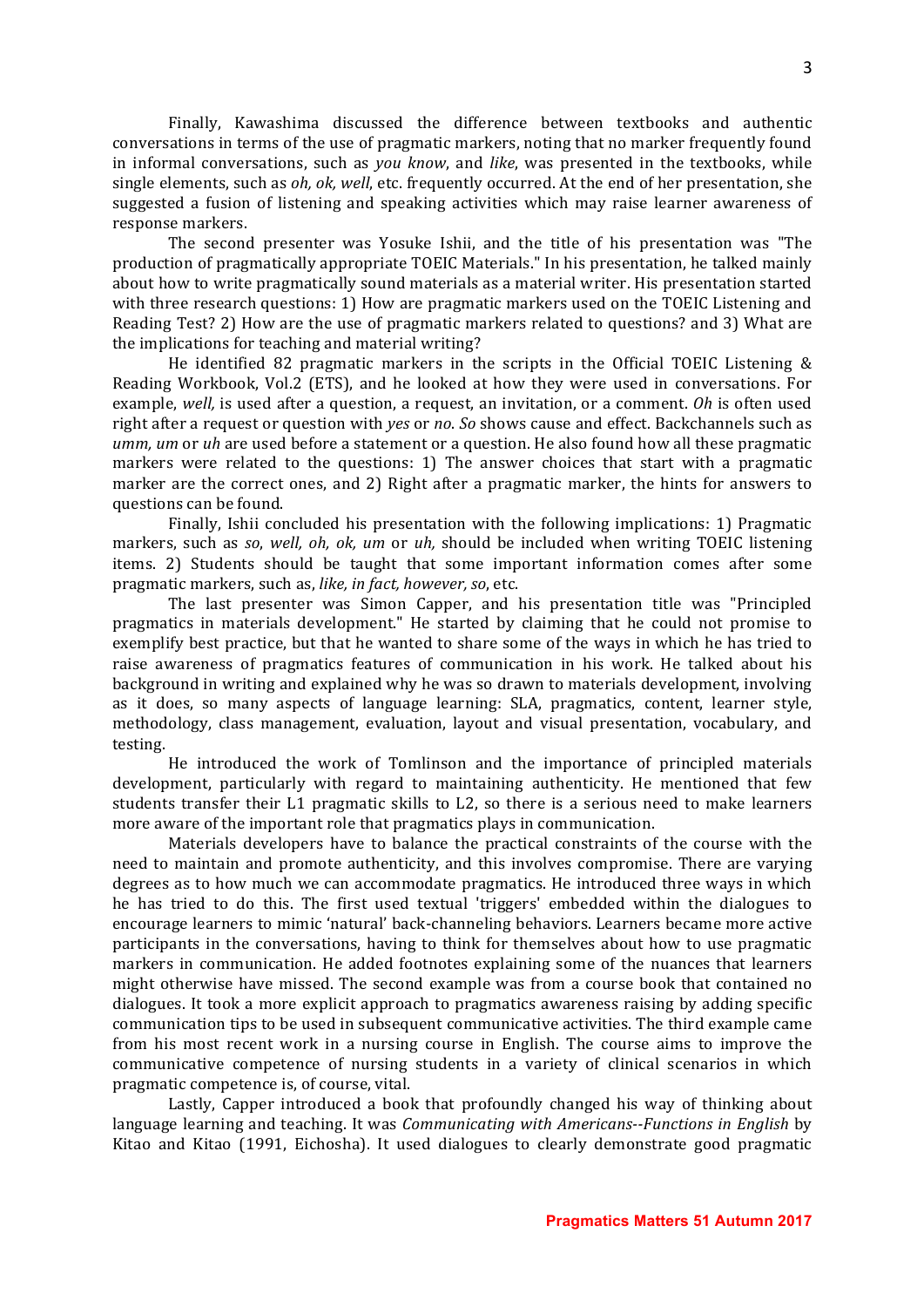Finally, Kawashima discussed the difference between textbooks and authentic conversations in terms of the use of pragmatic markers, noting that no marker frequently found in informal conversations, such as *you know*, and *like*, was presented in the textbooks, while single elements, such as *oh, ok, well*, etc. frequently occurred. At the end of her presentation, she suggested a fusion of listening and speaking activities which may raise learner awareness of response markers.

The second presenter was Yosuke Ishii, and the title of his presentation was "The production of pragmatically appropriate TOEIC Materials." In his presentation, he talked mainly about how to write pragmatically sound materials as a material writer. His presentation started with three research questions: 1) How are pragmatic markers used on the TOEIC Listening and Reading Test? 2) How are the use of pragmatic markers related to questions? and 3) What are the implications for teaching and material writing?

He identified 82 pragmatic markers in the scripts in the Official TOEIC Listening  $\&$ Reading Workbook, Vol.2 (ETS), and he looked at how they were used in conversations. For example, *well*, is used after a question, a request, an invitation, or a comment. *Oh* is often used right after a request or question with *yes* or *no*. So shows cause and effect. Backchannels such as *umm, um* or *uh* are used before a statement or a question. He also found how all these pragmatic markers were related to the questions: 1) The answer choices that start with a pragmatic marker are the correct ones, and 2) Right after a pragmatic marker, the hints for answers to questions can be found.

Finally, Ishii concluded his presentation with the following implications: 1) Pragmatic markers, such as *so*, *well, oh, ok, um* or *uh*, should be included when writing TOEIC listening items. 2) Students should be taught that some important information comes after some pragmatic markers, such as, *like, in fact, however, so, etc.* 

The last presenter was Simon Capper, and his presentation title was "Principled pragmatics in materials development." He started by claiming that he could not promise to exemplify best practice, but that he wanted to share some of the ways in which he has tried to raise awareness of pragmatics features of communication in his work. He talked about his background in writing and explained why he was so drawn to materials development, involving as it does, so many aspects of language learning: SLA, pragmatics, content, learner style, methodology, class management, evaluation, layout and visual presentation, vocabulary, and testing.

He introduced the work of Tomlinson and the importance of principled materials development, particularly with regard to maintaining authenticity. He mentioned that few students transfer their L1 pragmatic skills to L2, so there is a serious need to make learners more aware of the important role that pragmatics plays in communication.

Materials developers have to balance the practical constraints of the course with the need to maintain and promote authenticity, and this involves compromise. There are varying degrees as to how much we can accommodate pragmatics. He introduced three ways in which he has tried to do this. The first used textual 'triggers' embedded within the dialogues to encourage learners to mimic 'natural' back-channeling behaviors. Learners became more active participants in the conversations, having to think for themselves about how to use pragmatic markers in communication. He added footnotes explaining some of the nuances that learners might otherwise have missed. The second example was from a course book that contained no dialogues. It took a more explicit approach to pragmatics awareness raising by adding specific communication tips to be used in subsequent communicative activities. The third example came from his most recent work in a nursing course in English. The course aims to improve the communicative competence of nursing students in a variety of clinical scenarios in which pragmatic competence is, of course, vital.

Lastly, Capper introduced a book that profoundly changed his way of thinking about language learning and teaching. It was *Communicating with Americans--Functions in English* by Kitao and Kitao (1991, Eichosha). It used dialogues to clearly demonstrate good pragmatic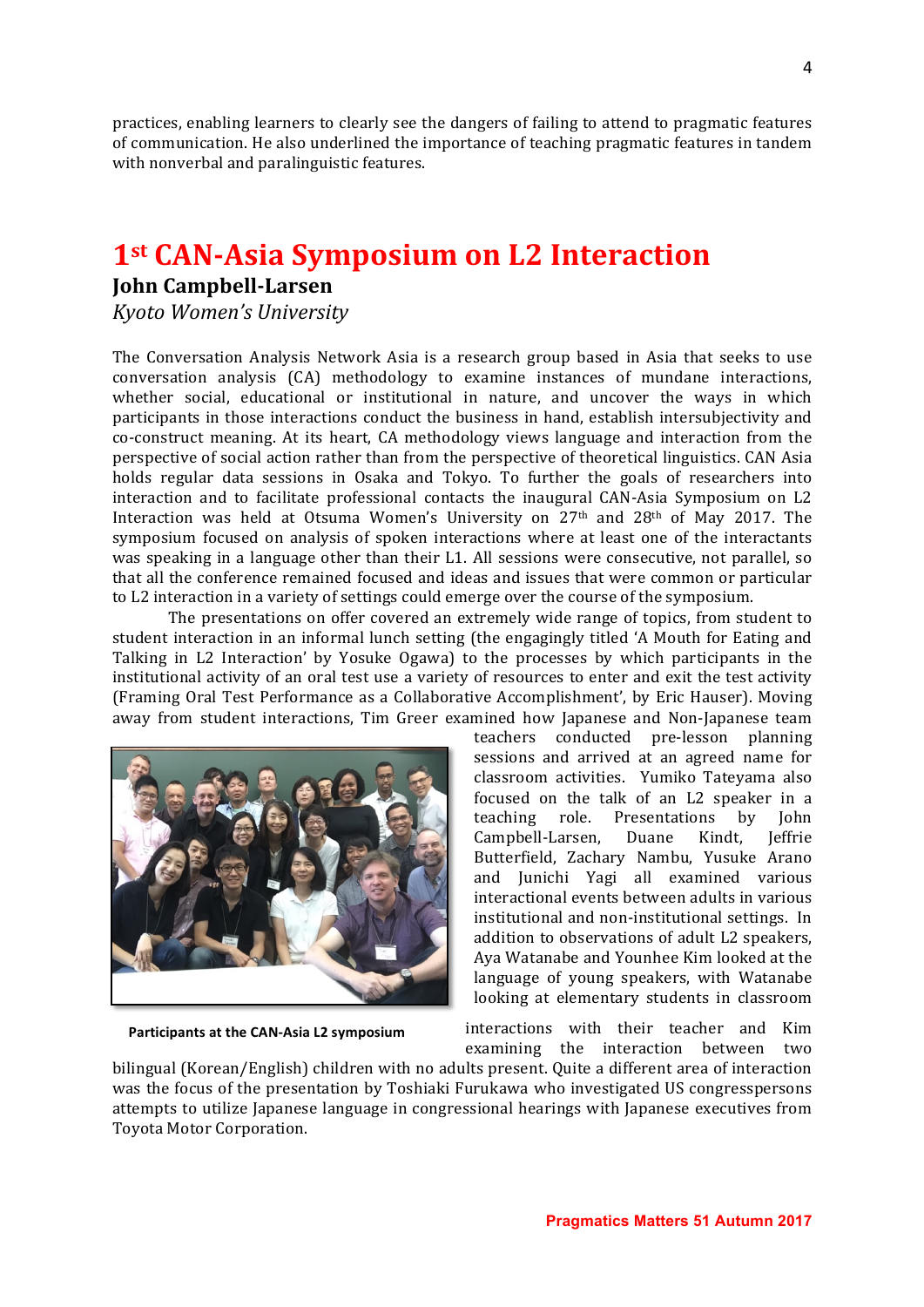practices, enabling learners to clearly see the dangers of failing to attend to pragmatic features of communication. He also underlined the importance of teaching pragmatic features in tandem with nonverbal and paralinguistic features.

## **1st CAN-Asia Symposium on L2 Interaction**

#### **John Campbell-Larsen**

*Kyoto Women's University*

The Conversation Analysis Network Asia is a research group based in Asia that seeks to use conversation analysis (CA) methodology to examine instances of mundane interactions, whether social, educational or institutional in nature, and uncover the ways in which participants in those interactions conduct the business in hand, establish intersubjectivity and co-construct meaning. At its heart, CA methodology views language and interaction from the perspective of social action rather than from the perspective of theoretical linguistics. CAN Asia holds regular data sessions in Osaka and Tokyo. To further the goals of researchers into interaction and to facilitate professional contacts the inaugural CAN-Asia Symposium on L2 Interaction was held at Otsuma Women's University on 27<sup>th</sup> and 28<sup>th</sup> of May 2017. The symposium focused on analysis of spoken interactions where at least one of the interactants was speaking in a language other than their L1. All sessions were consecutive, not parallel, so that all the conference remained focused and ideas and issues that were common or particular to L2 interaction in a variety of settings could emerge over the course of the symposium.

The presentations on offer covered an extremely wide range of topics, from student to student interaction in an informal lunch setting (the engagingly titled 'A Mouth for Eating and Talking in L2 Interaction' by Yosuke Ogawa) to the processes by which participants in the institutional activity of an oral test use a variety of resources to enter and exit the test activity (Framing Oral Test Performance as a Collaborative Accomplishment', by Eric Hauser). Moving away from student interactions, Tim Greer examined how Japanese and Non-Japanese team



Participants at the CAN-Asia L2 symposium

teachers conducted pre-lesson planning sessions and arrived at an agreed name for classroom activities. Yumiko Tateyama also focused on the talk of an L2 speaker in a teaching role. Presentations by John Campbell-Larsen, Duane Kindt, Jeffrie Butterfield, Zachary Nambu, Yusuke Arano and Junichi Yagi all examined various interactional events between adults in various institutional and non-institutional settings. In addition to observations of adult L2 speakers, Aya Watanabe and Younhee Kim looked at the language of young speakers, with Watanabe looking at elementary students in classroom

interactions with their teacher and Kim examining the interaction between two

bilingual (Korean/English) children with no adults present. Quite a different area of interaction was the focus of the presentation by Toshiaki Furukawa who investigated US congresspersons attempts to utilize Japanese language in congressional hearings with Japanese executives from Toyota Motor Corporation.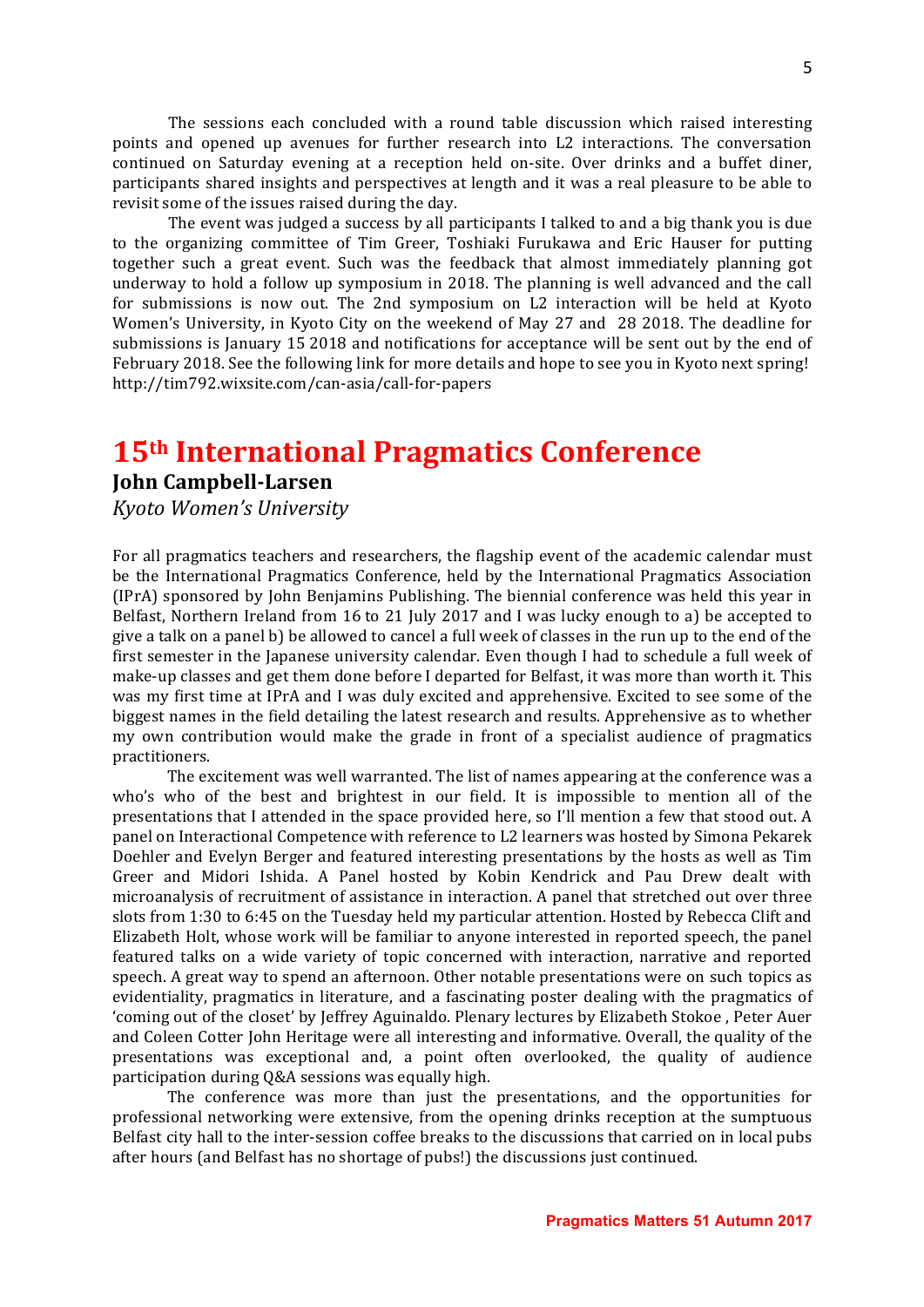The sessions each concluded with a round table discussion which raised interesting points and opened up avenues for further research into L2 interactions. The conversation continued on Saturday evening at a reception held on-site. Over drinks and a buffet diner, participants shared insights and perspectives at length and it was a real pleasure to be able to revisit some of the issues raised during the day.

The event was judged a success by all participants I talked to and a big thank you is due to the organizing committee of Tim Greer, Toshiaki Furukawa and Eric Hauser for putting together such a great event. Such was the feedback that almost immediately planning got underway to hold a follow up symposium in 2018. The planning is well advanced and the call for submissions is now out. The 2nd symposium on L2 interaction will be held at Kyoto Women's University, in Kyoto City on the weekend of May 27 and 28 2018. The deadline for submissions is January 15 2018 and notifications for acceptance will be sent out by the end of February 2018. See the following link for more details and hope to see you in Kyoto next spring! http://tim792.wixsite.com/can-asia/call-for-papers

### **15th International Pragmatics Conference**

#### **John Campbell-Larsen**

*Kyoto Women's University*

For all pragmatics teachers and researchers, the flagship event of the academic calendar must be the International Pragmatics Conference, held by the International Pragmatics Association (IPrA) sponsored by John Benjamins Publishing. The biennial conference was held this year in Belfast, Northern Ireland from 16 to 21 July 2017 and I was lucky enough to a) be accepted to give a talk on a panel b) be allowed to cancel a full week of classes in the run up to the end of the first semester in the Japanese university calendar. Even though I had to schedule a full week of make-up classes and get them done before I departed for Belfast, it was more than worth it. This was my first time at IPrA and I was duly excited and apprehensive. Excited to see some of the biggest names in the field detailing the latest research and results. Apprehensive as to whether my own contribution would make the grade in front of a specialist audience of pragmatics practitioners. 

The excitement was well warranted. The list of names appearing at the conference was a who's who of the best and brightest in our field. It is impossible to mention all of the presentations that I attended in the space provided here, so I'll mention a few that stood out. A panel on Interactional Competence with reference to L2 learners was hosted by Simona Pekarek Doehler and Evelyn Berger and featured interesting presentations by the hosts as well as Tim Greer and Midori Ishida. A Panel hosted by Kobin Kendrick and Pau Drew dealt with microanalysis of recruitment of assistance in interaction. A panel that stretched out over three slots from 1:30 to 6:45 on the Tuesday held my particular attention. Hosted by Rebecca Clift and Elizabeth Holt, whose work will be familiar to anyone interested in reported speech, the panel featured talks on a wide variety of topic concerned with interaction, narrative and reported speech. A great way to spend an afternoon. Other notable presentations were on such topics as evidentiality, pragmatics in literature, and a fascinating poster dealing with the pragmatics of 'coming out of the closet' by Jeffrey Aguinaldo. Plenary lectures by Elizabeth Stokoe, Peter Auer and Coleen Cotter John Heritage were all interesting and informative. Overall, the quality of the presentations was exceptional and, a point often overlooked, the quality of audience participation during Q&A sessions was equally high.

The conference was more than just the presentations, and the opportunities for professional networking were extensive, from the opening drinks reception at the sumptuous Belfast city hall to the inter-session coffee breaks to the discussions that carried on in local pubs after hours (and Belfast has no shortage of pubs!) the discussions just continued.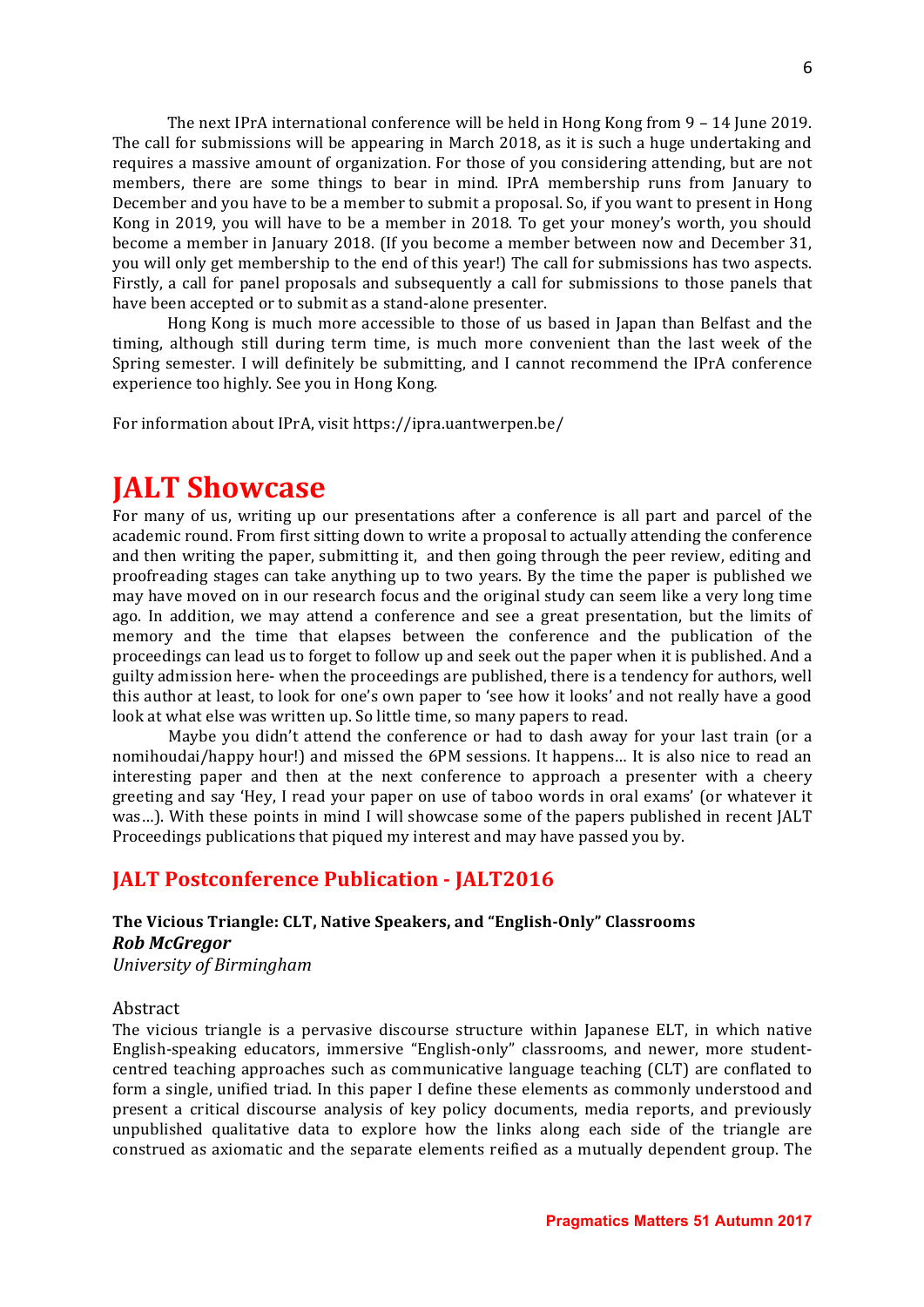The next IPrA international conference will be held in Hong Kong from  $9 - 14$  June 2019. The call for submissions will be appearing in March 2018, as it is such a huge undertaking and requires a massive amount of organization. For those of you considering attending, but are not members, there are some things to bear in mind. IPrA membership runs from January to December and you have to be a member to submit a proposal. So, if you want to present in Hong Kong in 2019, you will have to be a member in 2018. To get your money's worth, you should become a member in January 2018. (If you become a member between now and December 31, you will only get membership to the end of this year!) The call for submissions has two aspects. Firstly, a call for panel proposals and subsequently a call for submissions to those panels that have been accepted or to submit as a stand-alone presenter.

Hong Kong is much more accessible to those of us based in Japan than Belfast and the timing, although still during term time, is much more convenient than the last week of the Spring semester. I will definitely be submitting, and I cannot recommend the IPrA conference experience too highly. See you in Hong Kong.

For information about IPrA, visit https://ipra.uantwerpen.be/

# **JALT Showcase**

For many of us, writing up our presentations after a conference is all part and parcel of the academic round. From first sitting down to write a proposal to actually attending the conference and then writing the paper, submitting it, and then going through the peer review, editing and proofreading stages can take anything up to two years. By the time the paper is published we may have moved on in our research focus and the original study can seem like a very long time ago. In addition, we may attend a conference and see a great presentation, but the limits of memory and the time that elapses between the conference and the publication of the proceedings can lead us to forget to follow up and seek out the paper when it is published. And a guilty admission here- when the proceedings are published, there is a tendency for authors, well this author at least, to look for one's own paper to 'see how it looks' and not really have a good look at what else was written up. So little time, so many papers to read.

Maybe you didn't attend the conference or had to dash away for your last train (or a nomihoudai/happy hour!) and missed the 6PM sessions. It happens... It is also nice to read an interesting paper and then at the next conference to approach a presenter with a cheery greeting and say 'Hey, I read your paper on use of taboo words in oral exams' (or whatever it was...). With these points in mind I will showcase some of the papers published in recent JALT Proceedings publications that piqued my interest and may have passed you by.

#### **JALT Postconference Publication - JALT2016**

#### The Vicious Triangle: CLT, Native Speakers, and "English-Only" Classrooms *Rob McGregor University of Birmingham*

#### Abstract

The vicious triangle is a pervasive discourse structure within Japanese ELT, in which native English-speaking educators, immersive "English-only" classrooms, and newer, more studentcentred teaching approaches such as communicative language teaching (CLT) are conflated to form a single, unified triad. In this paper I define these elements as commonly understood and present a critical discourse analysis of key policy documents, media reports, and previously unpublished qualitative data to explore how the links along each side of the triangle are construed as axiomatic and the separate elements reified as a mutually dependent group. The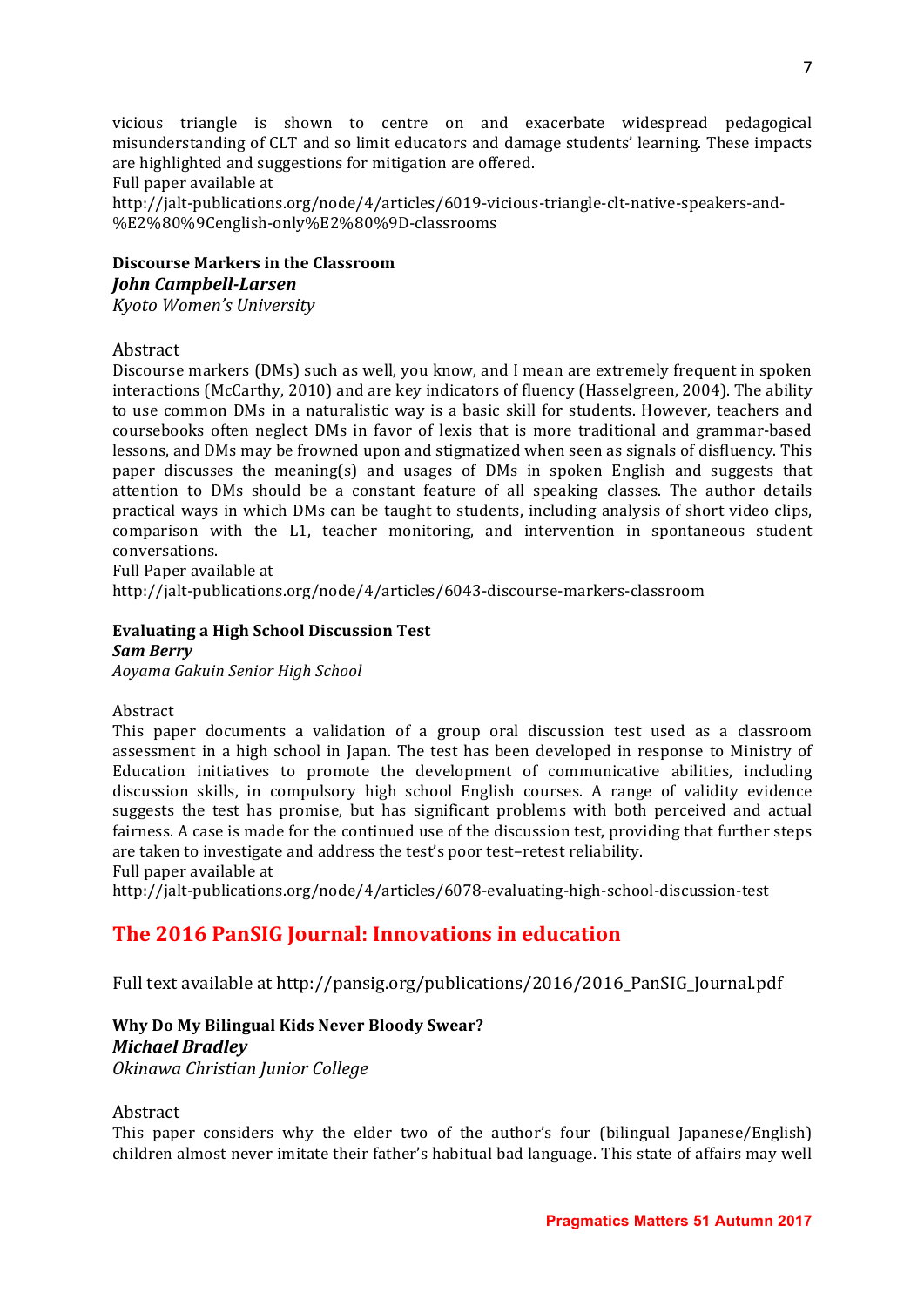vicious triangle is shown to centre on and exacerbate widespread pedagogical misunderstanding of CLT and so limit educators and damage students' learning. These impacts are highlighted and suggestions for mitigation are offered.

#### Full paper available at

http://jalt-publications.org/node/4/articles/6019-vicious-triangle-clt-native-speakers-and- %E2%80%9Cenglish-only%E2%80%9D-classrooms

#### **Discourse Markers in the Classroom** *John Campbell-Larsen Kyoto Women's University*

Abstract

Discourse markers (DMs) such as well, you know, and I mean are extremely frequent in spoken interactions (McCarthy, 2010) and are key indicators of fluency (Hasselgreen, 2004). The ability to use common DMs in a naturalistic way is a basic skill for students. However, teachers and coursebooks often neglect DMs in favor of lexis that is more traditional and grammar-based lessons, and DMs may be frowned upon and stigmatized when seen as signals of disfluency. This paper discusses the meaning(s) and usages of DMs in spoken English and suggests that attention to DMs should be a constant feature of all speaking classes. The author details practical ways in which DMs can be taught to students, including analysis of short video clips, comparison with the L1, teacher monitoring, and intervention in spontaneous student conversations.

Full Paper available at http://jalt-publications.org/node/4/articles/6043-discourse-markers-classroom

#### **Evaluating a High School Discussion Test** *Sam Berry*

*Aoyama Gakuin Senior High School*

Abstract 

This paper documents a validation of a group oral discussion test used as a classroom assessment in a high school in Japan. The test has been developed in response to Ministry of Education initiatives to promote the development of communicative abilities, including discussion skills, in compulsory high school English courses. A range of validity evidence suggests the test has promise, but has significant problems with both perceived and actual fairness. A case is made for the continued use of the discussion test, providing that further steps are taken to investigate and address the test's poor test-retest reliability.

Full paper available at

http://jalt-publications.org/node/4/articles/6078-evaluating-high-school-discussion-test

### **The 2016 PanSIG Journal: Innovations in education**

Full text available at http://pansig.org/publications/2016/2016\_PanSIG\_Journal.pdf

#### **Why Do My Bilingual Kids Never Bloody Swear?** *Michael Bradley Okinawa Christian Junior College*

Abstract

This paper considers why the elder two of the author's four (bilingual Japanese/English) children almost never imitate their father's habitual bad language. This state of affairs may well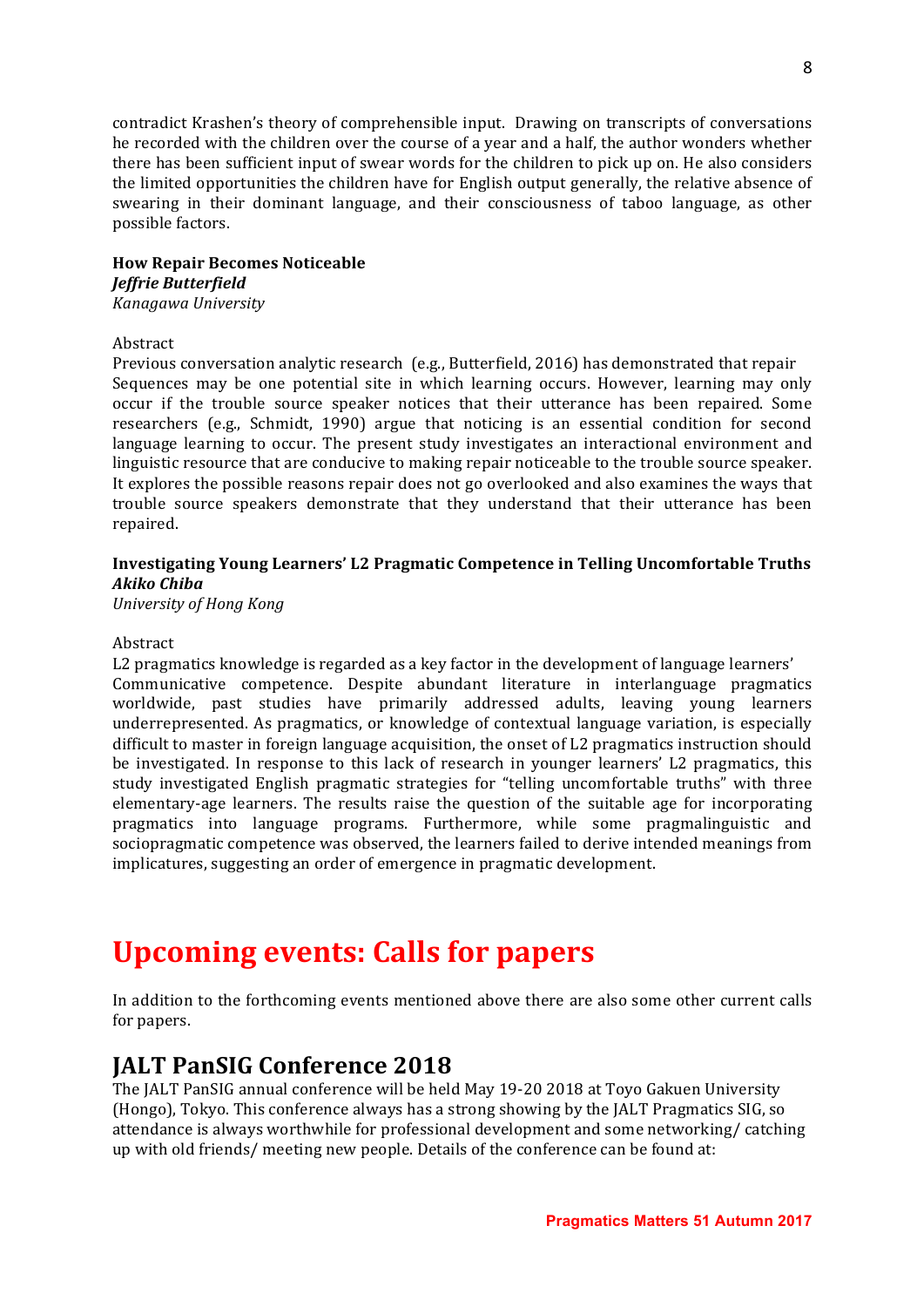contradict Krashen's theory of comprehensible input. Drawing on transcripts of conversations he recorded with the children over the course of a year and a half, the author wonders whether there has been sufficient input of swear words for the children to pick up on. He also considers the limited opportunities the children have for English output generally, the relative absence of swearing in their dominant language, and their consciousness of taboo language, as other possible factors.

#### **How Repair Becomes Noticeable**

#### *Jeffrie Butterfield*

*Kanagawa University*

#### Abstract

Previous conversation analytic research  $(e.g.,$  Butterfield, 2016) has demonstrated that repair Sequences may be one potential site in which learning occurs. However, learning may only occur if the trouble source speaker notices that their utterance has been repaired. Some researchers (e.g., Schmidt, 1990) argue that noticing is an essential condition for second language learning to occur. The present study investigates an interactional environment and linguistic resource that are conducive to making repair noticeable to the trouble source speaker. It explores the possible reasons repair does not go overlooked and also examines the ways that trouble source speakers demonstrate that they understand that their utterance has been repaired.

#### **Investigating Young Learners' L2 Pragmatic Competence in Telling Uncomfortable Truths** *Akiko Chiba*

*University of Hong Kong*

#### Abstract

L2 pragmatics knowledge is regarded as a key factor in the development of language learners' Communicative competence. Despite abundant literature in interlanguage pragmatics worldwide, past studies have primarily addressed adults, leaving young learners underrepresented. As pragmatics, or knowledge of contextual language variation, is especially difficult to master in foreign language acquisition, the onset of L2 pragmatics instruction should be investigated. In response to this lack of research in younger learners' L2 pragmatics, this study investigated English pragmatic strategies for "telling uncomfortable truths" with three elementary-age learners. The results raise the question of the suitable age for incorporating pragmatics into language programs. Furthermore, while some pragmalinguistic and sociopragmatic competence was observed, the learners failed to derive intended meanings from implicatures, suggesting an order of emergence in pragmatic development.

# **Upcoming events: Calls for papers**

In addition to the forthcoming events mentioned above there are also some other current calls for papers.

### **JALT PanSIG Conference 2018**

The JALT PanSIG annual conference will be held May 19-20 2018 at Toyo Gakuen University (Hongo), Tokyo. This conference always has a strong showing by the JALT Pragmatics SIG, so attendance is always worthwhile for professional development and some networking/ catching up with old friends/ meeting new people. Details of the conference can be found at: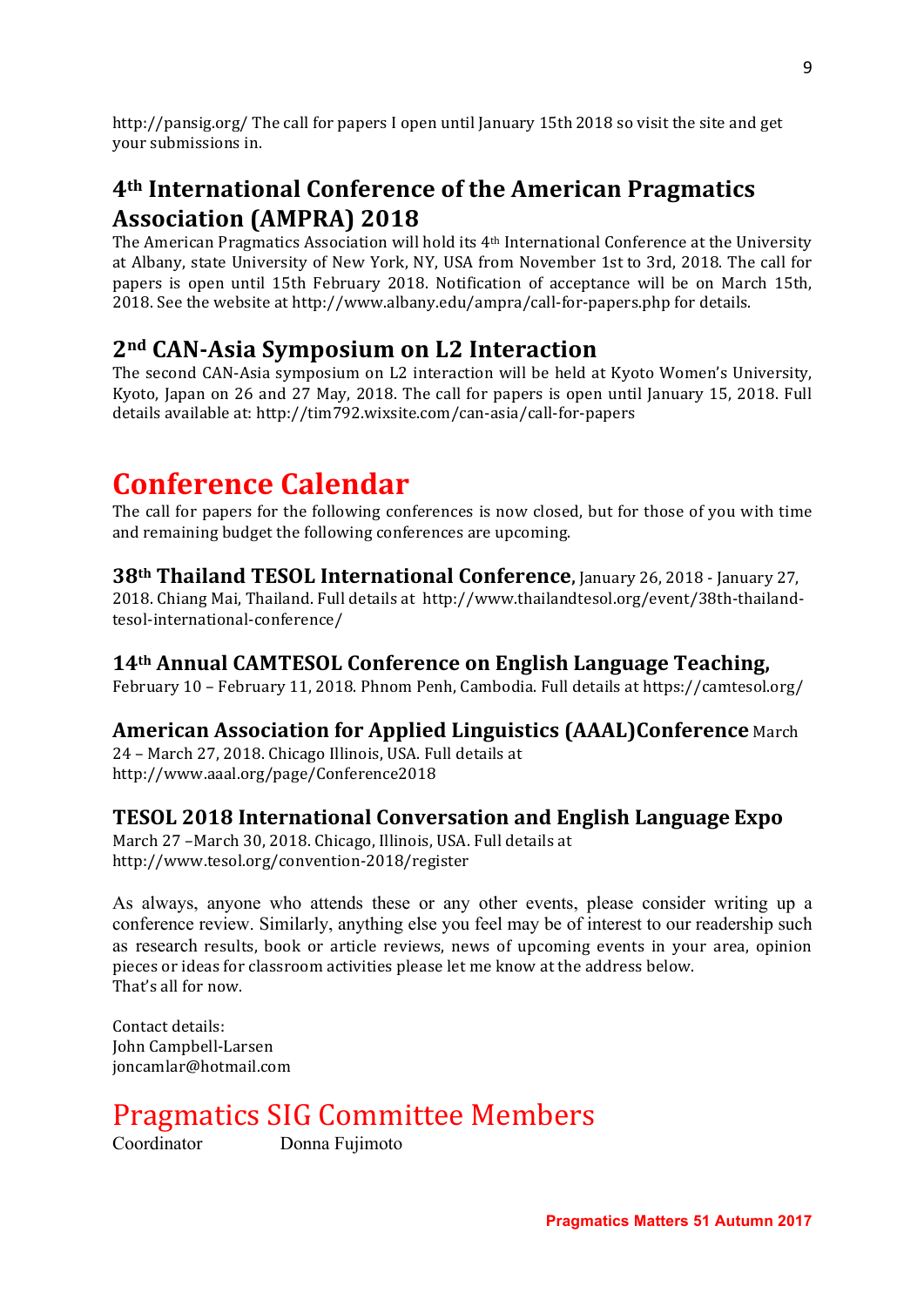http://pansig.org/ The call for papers I open until January 15th 2018 so visit the site and get your submissions in.

### **4th International Conference of the American Pragmatics Association (AMPRA) 2018**

The American Pragmatics Association will hold its 4<sup>th</sup> International Conference at the University at Albany, state University of New York, NY, USA from November 1st to 3rd, 2018. The call for papers is open until 15th February 2018. Notification of acceptance will be on March 15th, 2018. See the website at http://www.albany.edu/ampra/call-for-papers.php for details.

### **2nd CAN-Asia Symposium on L2 Interaction**

The second CAN-Asia symposium on L2 interaction will be held at Kyoto Women's University, Kyoto, Japan on 26 and 27 May, 2018. The call for papers is open until January 15, 2018. Full details available at: http://tim792.wixsite.com/can-asia/call-for-papers

# **Conference Calendar**

The call for papers for the following conferences is now closed, but for those of you with time and remaining budget the following conferences are upcoming.

### **38th Thailand TESOL International Conference, January 26, 2018 - January 27,**

2018. Chiang Mai, Thailand. Full details at http://www.thailandtesol.org/event/38th-thailandtesol-international-conference/

### **14th Annual CAMTESOL Conference on English Language Teaching,**

February 10 - February 11, 2018. Phnom Penh, Cambodia. Full details at https://camtesol.org/

### **American Association for Applied Linguistics (AAAL)Conference** March

24 - March 27, 2018. Chicago Illinois, USA. Full details at http://www.aaal.org/page/Conference2018

### **TESOL 2018 International Conversation and English Language Expo**

March 27 -March 30, 2018. Chicago, Illinois, USA. Full details at http://www.tesol.org/convention-2018/register

As always, anyone who attends these or any other events, please consider writing up a conference review. Similarly, anything else you feel may be of interest to our readership such as research results, book or article reviews, news of upcoming events in your area, opinion pieces or ideas for classroom activities please let me know at the address below. That's all for now.

Contact details: John Campbell-Larsen joncamlar@hotmail.com

# Pragmatics SIG Committee Members

Coordinator Donna Fujimoto